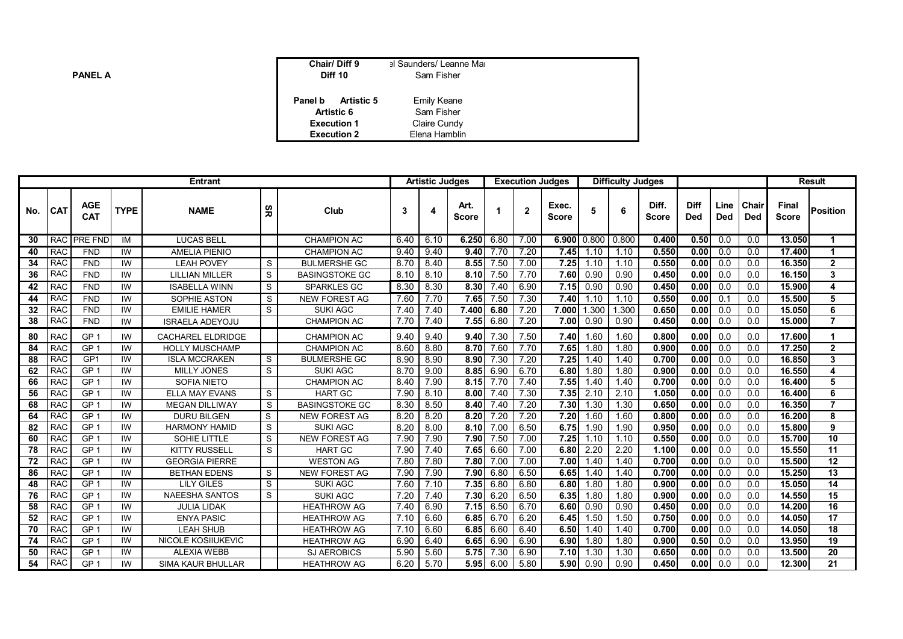| <b>PANEL A</b> | Chair/Diff 9<br>Diff 10      | al Saunders/ Leanne Mai<br>Sam Fisher |
|----------------|------------------------------|---------------------------------------|
|                | <b>Artistic 5</b><br>Panel b | <b>Emily Keane</b>                    |
|                | <b>Artistic 6</b>            | Sam Fisher                            |
|                | <b>Execution 1</b>           | Claire Cundy                          |
|                | <b>Execution 2</b>           | Elena Hamblin                         |

| <b>Entrant</b> |            |                          |             |                           |     | <b>Artistic Judges</b> |      |      |                      |      | <b>Execution Judges</b> |                       | <b>Difficulty Judges</b> |       |                       |                           |                    | <b>Result</b>       |                       |                 |
|----------------|------------|--------------------------|-------------|---------------------------|-----|------------------------|------|------|----------------------|------|-------------------------|-----------------------|--------------------------|-------|-----------------------|---------------------------|--------------------|---------------------|-----------------------|-----------------|
| No.            | <b>CAT</b> | <b>AGE</b><br><b>CAT</b> | <b>TYPE</b> | <b>NAME</b>               | မ္ဘ | Club                   |      |      | Art.<br><b>Score</b> |      | $\overline{2}$          | Exec.<br><b>Score</b> | 5                        |       | Diff.<br><b>Score</b> | <b>Diff</b><br><b>Ded</b> | Line<br><b>Ded</b> | Chair<br><b>Ded</b> | Final<br><b>Score</b> | <b>Position</b> |
| 30             | <b>RAC</b> | <b>PRE FND</b>           | IM          | <b>LUCAS BELI</b>         |     | <b>CHAMPION AC</b>     | 6.40 | 6.10 | 6.250                | 6.80 | 7.00                    | 6.900 0.800           |                          | 0.800 | 0.400                 | 0.50                      | 0.0                | 0.0                 | 13.050                | 1               |
| 40             | <b>RAC</b> | <b>FND</b>               | IW          | <b>AMELIA PIENIO</b>      |     | <b>CHAMPION AC</b>     | 9.40 | 9.40 | 9.40                 | 7.70 | 7.20                    | 7.45                  | 1.10                     | 1.10  | 0.550                 | 0.00                      | 0.0                | 0.0                 | 17.400                | 1               |
| 34             | <b>RAC</b> | <b>FND</b>               | IW          | <b>LEAH POVEY</b>         | S   | <b>BULMERSHE GC</b>    | 8.70 | 8.40 | 8.55                 | 7.50 | 7.00                    | 7.25                  | 1.10                     | 1.10  | 0.550                 | 0.00                      | 0.0                | 0.0                 | 16.350                | $\overline{2}$  |
| 36             | <b>RAC</b> | <b>FND</b>               | IW          | <b>LILLIAN MILLER</b>     | S   | <b>BASINGSTOKE GC</b>  | 8.10 | 8.10 | 8.10                 | 7.50 | 7.70                    | 7.60                  | 0.90                     | 0.90  | 0.450                 | 0.00                      | 0.0                | 0.0                 | 16.150                | 3               |
| 42             | <b>RAC</b> | <b>FND</b>               | IW          | <b>ISABELLA WINN</b>      | S   | SPARKLES GC            | 8.30 | 8.30 | 8.30                 | 7.40 | 6.90                    | 7.15                  | 0.90                     | 0.90  | 0.450                 | 0.00                      | 0.0                | 0.0                 | 15.900                | 4               |
| 44             | <b>RAC</b> | <b>FND</b>               | IW          | SOPHIE ASTON              | S   | <b>NEW FOREST AG</b>   | 7.60 | 7.70 | 7.65                 | 7.50 | 7.30                    | 7.40                  | 1.10                     | 1.10  | 0.550                 | 0.00                      | 0.1                | 0.0                 | 15.500                | 5               |
| 32             | <b>RAC</b> | <b>FND</b>               | IW          | <b>EMILIE HAMER</b>       | S   | <b>SUKI AGC</b>        | 7.40 | 7.40 | 7.400                | 6.80 | 7.20                    | 7.000                 | 1.300                    | 1.300 | 0.650                 | 0.00                      | 0.0                | 0.0                 | 15.050                | 6               |
| 38             | <b>RAC</b> | <b>FND</b>               | IW          | <b>ISRAELA ADEYOJU</b>    |     | <b>CHAMPION AC</b>     | 7.70 | 7.40 | 7.55                 | 6.80 | 7.20                    | 7.00                  | 0.90                     | 0.90  | 0.450                 | 0.00                      | 0.0                | 0.0                 | 15.000                | $\overline{7}$  |
| 80             | <b>RAC</b> | GP <sub>1</sub>          | IW          | <b>CACHAREL ELDRIDGE</b>  |     | <b>CHAMPION AC</b>     | 9.40 | 9.40 | 9.40                 | 7.30 | 7.50                    | 7.40                  | 1.60                     | 1.60  | 0.800                 | 0.00                      | 0.0                | 0.0                 | 17.600                | 1               |
| 84             | <b>RAC</b> | GP <sub>1</sub>          | IW          | <b>HOLLY MUSCHAMP</b>     |     | <b>CHAMPION AC</b>     | 8.60 | 8.80 | 8.70                 | 7.60 | 7.70                    | 7.65                  | 1.80                     | 1.80  | 0.900                 | 0.00                      | 0.0                | 0.0                 | 17.250                | $\overline{2}$  |
| 88             | <b>RAC</b> | GP <sub>1</sub>          | IW          | <b>ISLA MCCRAKEN</b>      | S   | <b>BULMERSHE GC</b>    | 8.90 | 8.90 | 8.90                 | 7.30 | 7.20                    | 7.25                  | 1.40                     | 1.40  | 0.700                 | 0.00                      | 0.0                | 0.0                 | 16.850                | 3               |
| 62             | <b>RAC</b> | GP <sub>1</sub>          | IW          | <b>MILLY JONES</b>        | S   | <b>SUKI AGC</b>        | 8.70 | 9.00 | 8.85                 | 6.90 | 6.70                    | 6.80                  | 1.80                     | 1.80  | 0.900                 | 0.00                      | 0.0                | 0.0                 | 16.550                | 4               |
| 66             | <b>RAC</b> | GP <sub>1</sub>          | IW          | <b>SOFIA NIETO</b>        |     | <b>CHAMPION AC</b>     | 8.40 | 7.90 | 8.15                 | 7.70 | 7.40                    | 7.55                  | 1.40                     | 1.40  | 0.700                 | 0.00                      | 0.0                | 0.0                 | 16.400                | 5               |
| 56             | <b>RAC</b> | GP <sub>1</sub>          | <b>IW</b>   | <b>ELLA MAY EVANS</b>     | S   | <b>HART GC</b>         | 7.90 | 8.10 | 8.00                 | 7.40 | 7.30                    | 7.35                  | 2.10                     | 2.10  | 1.050                 | 0.00                      | 0.0                | 0.0                 | 16.400                | 6               |
| 68             | <b>RAC</b> | GP <sub>1</sub>          | IW          | <b>MEGAN DILLIWAY</b>     | S   | <b>BASINGSTOKE GC</b>  | 8.30 | 8.50 | 8.40                 | 7.40 | 7.20                    | 7.30                  | 1.30                     | 1.30  | 0.650                 | 0.00                      | 0.0                | 0.0                 | 16.350                | $\overline{7}$  |
| 64             | <b>RAC</b> | GP <sub>1</sub>          | IW          | <b>DURU BILGEN</b>        | S   | <b>NEW FOREST AG</b>   | 8.20 | 8.20 | 8.20                 | 7.20 | 7.20                    | 7.20                  | 1.60                     | 1.60  | 0.800                 | 0.00                      | 0.0                | 0.0                 | 16.200                | 8               |
| 82             | <b>RAC</b> | GP <sub>1</sub>          | IW          | <b>HARMONY HAMID</b>      | S   | <b>SUKI AGC</b>        | 8.20 | 8.00 | 8.10                 | 7.00 | 6.50                    | 6.75                  | 1.90                     | 1.90  | 0.950                 | 0.00                      | 0.0                | 0.0                 | 15,800                | 9               |
| 60             | <b>RAC</b> | GP <sub>1</sub>          | <b>IW</b>   | SOHIE LITTLE              | S   | <b>NEW FOREST AG</b>   | 7.90 | 7.90 | 7.90                 | 7.50 | 7.00                    | 7.25                  | 1.10                     | 1.10  | 0.550                 | 0.00                      | 0.0                | 0.0                 | 15.700                | 10              |
| 78             | <b>RAC</b> | GP <sub>1</sub>          | IW          | <b>KITTY RUSSELL</b>      | S   | <b>HART GC</b>         | 7.90 | 7.40 | 7.65                 | 6.60 | 7.00                    | 6.80                  | 2.20                     | 2.20  | 1.100                 | 0.00                      | 0.0                | 0.0                 | 15.550                | $\overline{11}$ |
| 72             | <b>RAC</b> | GP <sub>1</sub>          | IW          | <b>GEORGIA PIERRE</b>     |     | <b>WESTON AG</b>       | 7.80 | 7.80 | 7.80                 | 7.00 | 7.00                    | 7.00                  | 1.40                     | 1.40  | 0.700                 | 0.00                      | 0.0                | 0.0                 | 15.500                | 12              |
| 86             | <b>RAC</b> | GP <sub>1</sub>          | IW          | <b>BETHAN EDENS</b>       | S   | <b>NEW FOREST AG</b>   | 7.90 | 7.90 | 7.90                 | 6.80 | 6.50                    | 6.65                  | 1.40                     | 1.40  | 0.700                 | 0.00                      | 0.0                | 0.0                 | 15.250                | 13              |
| 48             | <b>RAC</b> | GP <sub>1</sub>          | <b>IW</b>   | <b>LILY GILES</b>         | S   | <b>SUKI AGC</b>        | 7.60 | 7.10 | 7.35                 | 6.80 | 6.80                    | 6.80                  | 1.80                     | 1.80  | 0.900                 | 0.00                      | 0.0                | 0.0                 | 15.050                | 14              |
| 76             | <b>RAC</b> | GP <sub>1</sub>          | IW          | <b>NAEESHA SANTOS</b>     | S   | <b>SUKI AGC</b>        | 7.20 | 7.40 | 7.30                 | 6.20 | 6.50                    | 6.35                  | 1.80                     | 1.80  | 0.900                 | 0.00                      | 0.0                | 0.0                 | 14.550                | 15              |
| 58             | <b>RAC</b> | GP <sub>1</sub>          | IW          | <b>JULIA LIDAK</b>        |     | <b>HEATHROW AG</b>     | 7.40 | 6.90 | 7.15                 | 6.50 | 6.70                    | 6.60                  | 0.90                     | 0.90  | 0.450                 | 0.00                      | 0.0                | 0.0                 | 14.200                | 16              |
| 52             | <b>RAC</b> | GP <sub>1</sub>          | IW          | <b>ENYA PASIC</b>         |     | <b>HEATHROW AG</b>     | 7.10 | 6.60 | 6.85                 | 6.70 | 6.20                    | 6.45                  | 1.50                     | 1.50  | 0.750                 | 0.00                      | 0.0                | 0.0                 | 14.050                | 17              |
| 70             | <b>RAC</b> | GP <sub>1</sub>          | IW          | <b>LEAH SHUB</b>          |     | <b>HEATHROW AG</b>     | 7.10 | 6.60 | 6.85                 | 6.60 | 6.40                    | 6.50                  | 1.40                     | 1.40  | 0.700                 | 0.00                      | 0.0                | 0.0                 | 14.050                | 18              |
| 74             | <b>RAC</b> | GP <sub>1</sub>          | IW          | <b>NICOLE KOSIIUKEVIC</b> |     | <b>HEATHROW AG</b>     | 6.90 | 6.40 | 6.65                 | 6.90 | 6.90                    | 6.90                  | 1.80                     | 1.80  | 0.900                 | 0.50                      | 0.0                | 0.0                 | 13.950                | 19              |
| 50             | <b>RAC</b> | GP <sub>1</sub>          | IW          | <b>ALEXIA WEBB</b>        |     | <b>SJ AEROBICS</b>     | 5.90 | 5.60 | 5.75                 | 7.30 | 6.90                    | 7.10                  | 1.30                     | 1.30  | 0.650                 | 0.00                      | 0.0                | 0.0                 | 13.500                | 20              |
| 54             | <b>RAC</b> | GP <sub>1</sub>          | IW          | <b>SIMA KAUR BHULLAR</b>  |     | <b>HEATHROW AG</b>     | 6.20 | 5.70 | 5.95                 | 6.00 | 5.80                    | 5.90                  | 0.90                     | 0.90  | 0.450                 | 0.00                      | 0.0                | 0.0                 | 12.300                | 21              |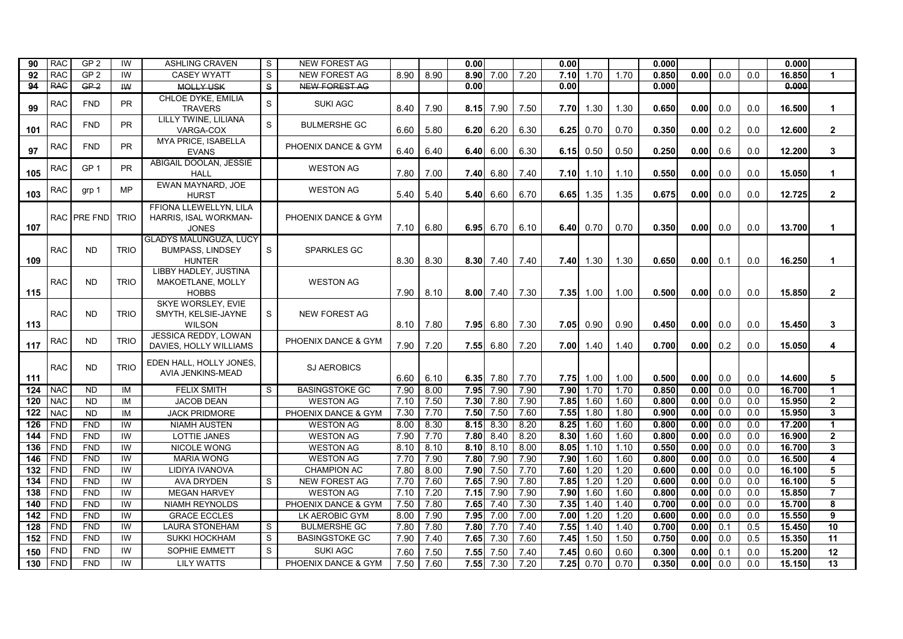| 90  | <b>RAC</b> | GP <sub>2</sub> | IW          | <b>ASHLING CRAVEN</b>                                                     | S.           | <b>NEW FOREST AG</b>  |      |      | 0.00 |                   |      | 0.00 |      |      | 0.000 |      |                  |     | 0.000  |                 |
|-----|------------|-----------------|-------------|---------------------------------------------------------------------------|--------------|-----------------------|------|------|------|-------------------|------|------|------|------|-------|------|------------------|-----|--------|-----------------|
| 92  | <b>RAC</b> | GP <sub>2</sub> | IW          | <b>CASEY WYATT</b>                                                        | S            | <b>NEW FOREST AG</b>  | 8.90 | 8.90 | 8.90 | 7.00              | 7.20 | 7.10 | 1.70 | 1.70 | 0.850 | 0.00 | 0.0              | 0.0 | 16.850 | $\mathbf{1}$    |
| 94  | <b>RAC</b> | GP <sub>2</sub> | <b>IW</b>   | <b>MOLLY USK</b>                                                          | $\mathbf{s}$ | <b>NEW FOREST AG</b>  |      |      | 0.00 |                   |      | 0.00 |      |      | 0.000 |      |                  |     | 0.000  |                 |
| 99  | <b>RAC</b> | <b>FND</b>      | <b>PR</b>   | CHLOE DYKE, EMILIA<br><b>TRAVERS</b>                                      | S            | <b>SUKI AGC</b>       | 8.40 | 7.90 | 8.15 | 7.90              | 7.50 | 7.70 | 1.30 | 1.30 | 0.650 | 0.00 | 0.0              | 0.0 | 16.500 | $\mathbf{1}$    |
| 101 | <b>RAC</b> | <b>FND</b>      | <b>PR</b>   | LILLY TWINE, LILIANA<br>VARGA-COX                                         | S            | <b>BULMERSHE GC</b>   | 6.60 | 5.80 |      | $6.20 \ 6.20$     | 6.30 | 6.25 | 0.70 | 0.70 | 0.350 | 0.00 | 0.2              | 0.0 | 12.600 | $\overline{2}$  |
| 97  | <b>RAC</b> | <b>FND</b>      | <b>PR</b>   | MYA PRICE, ISABELLA<br><b>EVANS</b>                                       |              | PHOENIX DANCE & GYM   | 6.40 | 6.40 |      | $6.40 \ 6.00$     | 6.30 | 6.15 | 0.50 | 0.50 | 0.250 | 0.00 | 0.6              | 0.0 | 12.200 | $\mathbf{3}$    |
| 105 | <b>RAC</b> | GP <sub>1</sub> | <b>PR</b>   | ABIGAIL DOOLAN, JESSIE<br><b>HALL</b>                                     |              | <b>WESTON AG</b>      | 7.80 | 7.00 |      | $7.40 \mid 6.80$  | 7.40 | 7.10 | 1.10 | 1.10 | 0.550 | 0.00 | 0.0              | 0.0 | 15.050 | $\mathbf{1}$    |
| 103 | <b>RAC</b> | grp 1           | MP          | EWAN MAYNARD, JOE<br><b>HURST</b>                                         |              | <b>WESTON AG</b>      | 5.40 | 5.40 |      | 5.40 6.60         | 6.70 | 6.65 | 1.35 | 1.35 | 0.675 | 0.00 | 0.0              | 0.0 | 12.725 | $\overline{2}$  |
| 107 |            | RAC PRE FND     | <b>TRIO</b> | FFIONA LLEWELLYN, LILA<br>HARRIS, ISAL WORKMAN-<br><b>JONES</b>           |              | PHOENIX DANCE & GYM   | 7.10 | 6.80 |      | 6.95 6.70         | 6.10 | 6.40 | 0.70 | 0.70 | 0.350 | 0.00 | 0.0              | 0.0 | 13.700 | $\mathbf{1}$    |
| 109 | <b>RAC</b> | <b>ND</b>       | <b>TRIO</b> | <b>GLADYS MALUNGUZA, LUCY</b><br><b>BUMPASS, LINDSEY</b><br><b>HUNTER</b> | <sub>S</sub> | <b>SPARKLES GC</b>    | 8.30 | 8.30 |      | 8.30 7.40         | 7.40 | 7.40 | 1.30 | 1.30 | 0.650 | 0.00 | 0.1              | 0.0 | 16.250 | 1               |
| 115 | <b>RAC</b> | <b>ND</b>       | <b>TRIO</b> | LIBBY HADLEY, JUSTINA<br>MAKOETLANE, MOLLY<br><b>HOBBS</b>                |              | <b>WESTON AG</b>      | 7.90 | 8.10 |      | $8.00$ 7.40       | 7.30 | 7.35 | 1.00 | 1.00 | 0.500 | 0.00 | 0.0              | 0.0 | 15.850 | $\mathbf{2}$    |
| 113 | <b>RAC</b> | <b>ND</b>       | <b>TRIO</b> | SKYE WORSLEY. EVIE<br>SMYTH, KELSIE-JAYNE<br><b>WILSON</b>                | S            | <b>NEW FOREST AG</b>  | 8.10 | 7.80 |      | $7.95 \, 6.80$    | 7.30 | 7.05 | 0.90 | 0.90 | 0.450 | 0.00 | 0.0              | 0.0 | 15.450 | 3               |
| 117 | <b>RAC</b> | <b>ND</b>       | <b>TRIO</b> | JESSICA REDDY, LOWAN<br>DAVIES, HOLLY WILLIAMS                            |              | PHOENIX DANCE & GYM   | 7.90 | 7.20 |      | $7.55 \ 6.80$     | 7.20 | 7.00 | 1.40 | 1.40 | 0.700 | 0.00 | 0.2              | 0.0 | 15.050 | 4               |
| 111 | <b>RAC</b> | <b>ND</b>       | <b>TRIO</b> | EDEN HALL, HOLLY JONES,<br>AVIA JENKINS-MEAD                              |              | <b>SJ AEROBICS</b>    | 6.60 | 6.10 |      | 6.35 7.80         | 7.70 | 7.75 | 1.00 | 1.00 | 0.500 | 0.00 | 0.0              | 0.0 | 14.600 | 5               |
| 124 | <b>NAC</b> | $\overline{ND}$ | IM          | <b>FELIX SMITH</b>                                                        | S.           | <b>BASINGSTOKE GC</b> | 7.90 | 8.00 | 7.95 | 7.90              | 7.90 | 7.90 | 1.70 | 1.70 | 0.850 | 0.00 | 0.0              | 0.0 | 16.700 | $\mathbf{1}$    |
| 120 | <b>NAC</b> | <b>ND</b>       | IM          | <b>JACOB DEAN</b>                                                         |              | <b>WESTON AG</b>      | 7.10 | 7.50 |      | 7.30 7.80         | 7.90 | 7.85 | 1.60 | 1.60 | 0.800 | 0.00 | 0.0              | 0.0 | 15.950 | $\overline{2}$  |
| 122 | <b>NAC</b> | <b>ND</b>       | IM          | <b>JACK PRIDMORE</b>                                                      |              | PHOENIX DANCE & GYM   | 7.30 | 7.70 | 7.50 | 7.50              | 7.60 | 7.55 | 1.80 | 1.80 | 0.900 | 0.00 | 0.0              | 0.0 | 15.950 | 3               |
| 126 | <b>FND</b> | <b>FND</b>      | IW          | <b>NIAMH AUSTEN</b>                                                       |              | <b>WESTON AG</b>      | 8.00 | 8.30 |      | $8.15 \quad 8.30$ | 8.20 | 8.25 | 1.60 | 1.60 | 0.800 | 0.00 | 0.0              | 0.0 | 17.200 | $\mathbf{1}$    |
| 144 | FND        | <b>FND</b>      | IW          | <b>LOTTIE JANES</b>                                                       |              | <b>WESTON AG</b>      | 7.90 | 7.70 | 7.80 | 8.40              | 8.20 | 8.30 | 1.60 | 1.60 | 0.800 | 0.00 | 0.0              | 0.0 | 16.900 | $\overline{2}$  |
| 136 | <b>FND</b> | <b>FND</b>      | IW          | <b>NICOLE WONG</b>                                                        |              | <b>WESTON AG</b>      | 8.10 | 8.10 | 8.10 | 8.10              | 8.00 | 8.05 | 1.10 | 1.10 | 0.550 | 0.00 | 0.0              | 0.0 | 16.700 | $\mathbf{3}$    |
| 146 | <b>FND</b> | <b>FND</b>      | IW          | <b>MARIA WONG</b>                                                         |              | <b>WESTON AG</b>      | 7.70 | 7.90 | 7.80 | 7.90              | 7.90 | 7.90 | 1.60 | 1.60 | 0.800 | 0.00 | 0.0              | 0.0 | 16.500 | 4               |
| 132 | <b>FND</b> | <b>FND</b>      | IW          | LIDIYA IVANOVA                                                            |              | <b>CHAMPION AC</b>    | 7.80 | 8.00 | 7.90 | 7.50              | 7.70 | 7.60 | 1.20 | 1.20 | 0.600 | 0.00 | 0.0              | 0.0 | 16.100 | 5               |
| 134 | <b>FND</b> | <b>FND</b>      | IW          | <b>AVA DRYDEN</b>                                                         | S.           | <b>NEW FOREST AG</b>  | 7.70 | 7.60 | 7.65 | 7.90              | 7.80 | 7.85 | 1.20 | 1.20 | 0.600 | 0.00 | $\overline{0.0}$ | 0.0 | 16.100 | $\overline{5}$  |
| 138 | <b>FND</b> | <b>FND</b>      | IW          | <b>MEGAN HARVEY</b>                                                       |              | <b>WESTON AG</b>      | 7.10 | 7.20 | 7.15 | 7.90              | 7.90 | 7.90 | 1.60 | 1.60 | 0.800 | 0.00 | 0.0              | 0.0 | 15.850 | $\overline{7}$  |
| 140 | <b>FND</b> | <b>FND</b>      | IW          | <b>NIAMH REYNOLDS</b>                                                     |              | PHOENIX DANCE & GYM   | 7.50 | 7.80 | 7.65 | 7.40              | 7.30 | 7.35 | 1.40 | 1.40 | 0.700 | 0.00 | 0.0              | 0.0 | 15.700 | 8               |
| 142 | <b>FND</b> | <b>FND</b>      | IW          | <b>GRACE ECCLES</b>                                                       |              | LK AEROBIC GYM        | 8.00 | 7.90 | 7.95 | 7.00              | 7.00 | 7.00 | 1.20 | 1.20 | 0.600 | 0.00 | $\overline{0.0}$ | 0.0 | 15.550 | $\overline{9}$  |
| 128 | <b>FND</b> | <b>FND</b>      | IW          | <b>LAURA STONEHAM</b>                                                     | S            | <b>BULMERSHE GC</b>   | 7.80 | 7.80 | 7.80 | 7.70              | 7.40 | 7.55 | 1.40 | 1.40 | 0.700 | 0.00 | 0.1              | 0.5 | 15.450 | 10              |
| 152 | <b>FND</b> | <b>FND</b>      | IW          | <b>SUKKI HOCKHAM</b>                                                      | S            | <b>BASINGSTOKE GC</b> | 7.90 | 7.40 | 7.65 | 7.30              | 7.60 | 7.45 | 1.50 | 1.50 | 0.750 | 0.00 | 0.0              | 0.5 | 15.350 | $\overline{11}$ |
| 150 | <b>FND</b> | <b>FND</b>      | IW          | SOPHIE EMMETT                                                             | S            | <b>SUKI AGC</b>       | 7.60 | 7.50 | 7.55 | 7.50              | 7.40 | 7.45 | 0.60 | 0.60 | 0.300 | 0.00 | 0.1              | 0.0 | 15.200 | 12              |
| 130 | FND        | <b>FND</b>      | IW          | <b>LILY WATTS</b>                                                         |              | PHOENIX DANCE & GYM   | 7.50 | 7.60 | 7.55 | 7.30              | 7.20 | 7.25 | 0.70 | 0.70 | 0.350 | 0.00 | 0.0              | 0.0 | 15.150 | 13              |